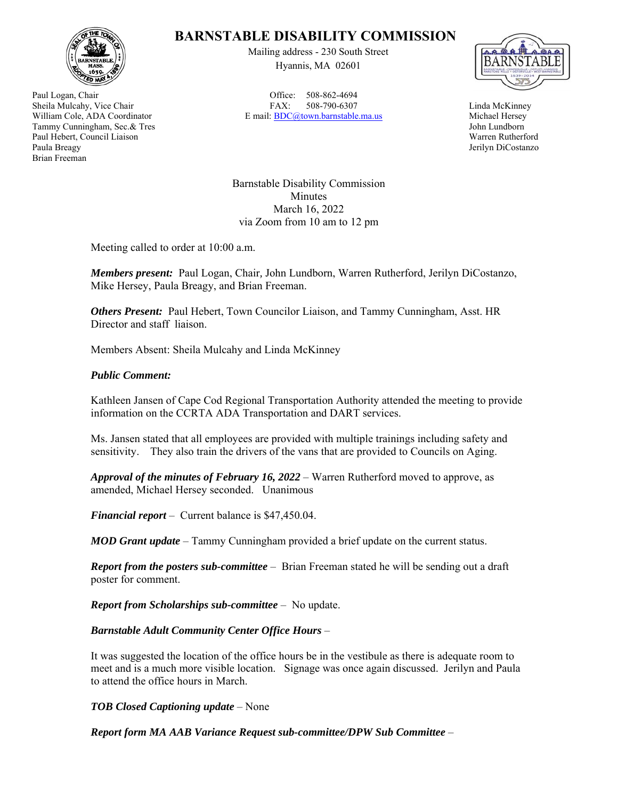

Paul Logan, Chair Sheila Mulcahy, Vice Chair William Cole, ADA Coordinator Tammy Cunningham, Sec.& Tres Paul Hebert, Council Liaison Paula Breagy Brian Freeman

## **BARNSTABLE DISABILITY COMMISSION**

Mailing address - 230 South Street Hyannis, MA 02601

Office: 508-862-4694 FAX: 508-790-6307 E mail: BDC@town.barnstable.ma.us



Linda McKinney Michael Hersey John Lundborn Warren Rutherford Jerilyn DiCostanzo

Barnstable Disability Commission Minutes March 16, 2022 via Zoom from 10 am to 12 pm

Meeting called to order at 10:00 a.m.

*Members present:* Paul Logan, Chair*,* John Lundborn, Warren Rutherford, Jerilyn DiCostanzo, Mike Hersey, Paula Breagy, and Brian Freeman.

*Others Present:* Paul Hebert, Town Councilor Liaison, and Tammy Cunningham, Asst. HR Director and staff liaison.

Members Absent: Sheila Mulcahy and Linda McKinney

## *Public Comment:*

Kathleen Jansen of Cape Cod Regional Transportation Authority attended the meeting to provide information on the CCRTA ADA Transportation and DART services.

Ms. Jansen stated that all employees are provided with multiple trainings including safety and sensitivity. They also train the drivers of the vans that are provided to Councils on Aging.

*Approval of the minutes of February 16, 2022* – Warren Rutherford moved to approve, as amended, Michael Hersey seconded. Unanimous

*Financial report* – Current balance is \$47,450.04.

*MOD Grant update* – Tammy Cunningham provided a brief update on the current status.

*Report from the posters sub-committee* – Brian Freeman stated he will be sending out a draft poster for comment.

*Report from Scholarships sub-committee* – No update.

*Barnstable Adult Community Center Office Hours* –

It was suggested the location of the office hours be in the vestibule as there is adequate room to meet and is a much more visible location. Signage was once again discussed. Jerilyn and Paula to attend the office hours in March.

*TOB Closed Captioning update* – None

*Report form MA AAB Variance Request sub-committee/DPW Sub Committee* –